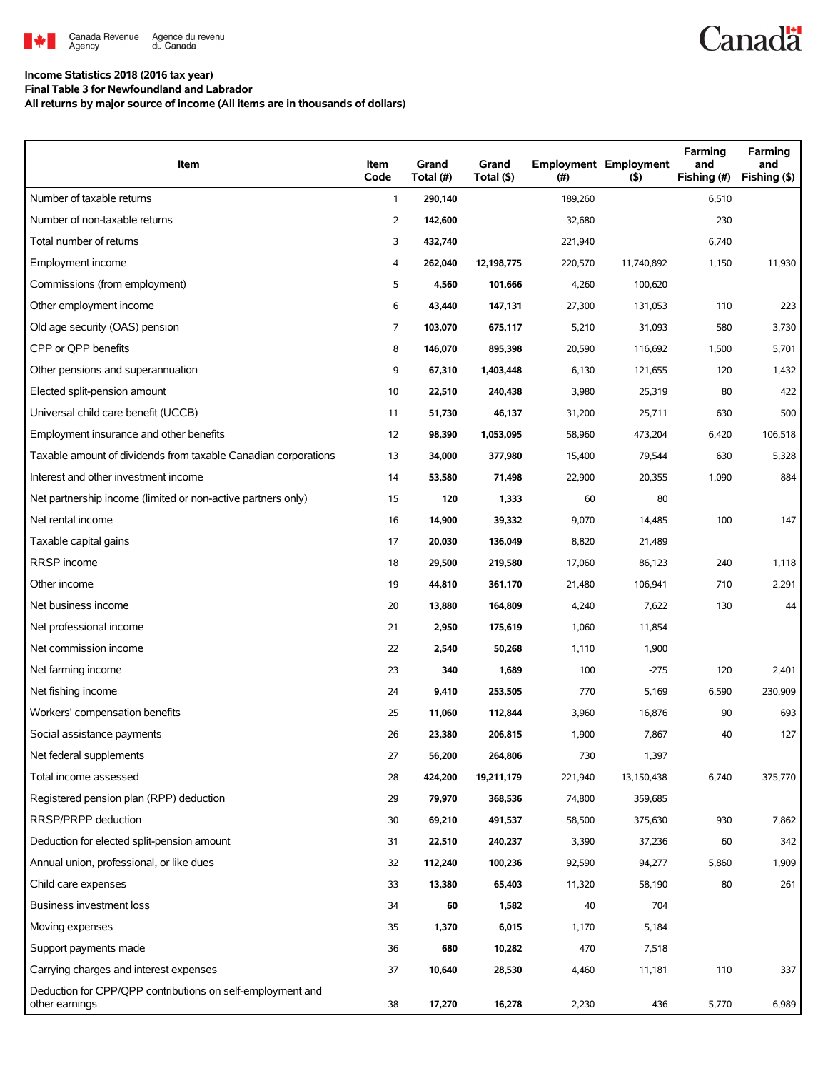

**Income Statistics 2018 (2016 tax year) Final Table 3 for Newfoundland and Labrador**

**All returns by major source of income (All items are in thousands of dollars)**

| Item                                                                         | Item<br>Code | Grand<br>Total (#) | Grand<br>Total (\$) | (#)     | <b>Employment Employment</b><br>(5) | Farming<br>and<br>Fishing (#) | Farming<br>and<br>Fishing (\$) |
|------------------------------------------------------------------------------|--------------|--------------------|---------------------|---------|-------------------------------------|-------------------------------|--------------------------------|
| Number of taxable returns                                                    | $\mathbf{1}$ | 290,140            |                     | 189,260 |                                     | 6,510                         |                                |
| Number of non-taxable returns                                                | 2            | 142,600            |                     | 32,680  |                                     | 230                           |                                |
| Total number of returns                                                      | 3            | 432,740            |                     | 221,940 |                                     | 6,740                         |                                |
| Employment income                                                            | 4            | 262,040            | 12,198,775          | 220,570 | 11,740,892                          | 1,150                         | 11,930                         |
| Commissions (from employment)                                                | 5            | 4,560              | 101,666             | 4,260   | 100,620                             |                               |                                |
| Other employment income                                                      | 6            | 43,440             | 147,131             | 27,300  | 131,053                             | 110                           | 223                            |
| Old age security (OAS) pension                                               | 7            | 103,070            | 675,117             | 5,210   | 31,093                              | 580                           | 3,730                          |
| CPP or QPP benefits                                                          | 8            | 146,070            | 895,398             | 20,590  | 116,692                             | 1,500                         | 5,701                          |
| Other pensions and superannuation                                            | 9            | 67,310             | 1,403,448           | 6,130   | 121,655                             | 120                           | 1,432                          |
| Elected split-pension amount                                                 | 10           | 22,510             | 240,438             | 3,980   | 25,319                              | 80                            | 422                            |
| Universal child care benefit (UCCB)                                          | 11           | 51,730             | 46,137              | 31,200  | 25,711                              | 630                           | 500                            |
| Employment insurance and other benefits                                      | 12           | 98,390             | 1,053,095           | 58,960  | 473,204                             | 6,420                         | 106,518                        |
| Taxable amount of dividends from taxable Canadian corporations               | 13           | 34,000             | 377,980             | 15,400  | 79,544                              | 630                           | 5,328                          |
| Interest and other investment income                                         | 14           | 53,580             | 71,498              | 22,900  | 20,355                              | 1,090                         | 884                            |
| Net partnership income (limited or non-active partners only)                 | 15           | 120                | 1,333               | 60      | 80                                  |                               |                                |
| Net rental income                                                            | 16           | 14,900             | 39,332              | 9,070   | 14,485                              | 100                           | 147                            |
| Taxable capital gains                                                        | 17           | 20,030             | 136,049             | 8,820   | 21,489                              |                               |                                |
| RRSP income                                                                  | 18           | 29,500             | 219,580             | 17,060  | 86,123                              | 240                           | 1,118                          |
| Other income                                                                 | 19           | 44,810             | 361,170             | 21,480  | 106,941                             | 710                           | 2,291                          |
| Net business income                                                          | 20           | 13,880             | 164,809             | 4,240   | 7,622                               | 130                           | 44                             |
| Net professional income                                                      | 21           | 2,950              | 175,619             | 1,060   | 11,854                              |                               |                                |
| Net commission income                                                        | 22           | 2,540              | 50,268              | 1,110   | 1,900                               |                               |                                |
| Net farming income                                                           | 23           | 340                | 1,689               | 100     | $-275$                              | 120                           | 2,401                          |
| Net fishing income                                                           | 24           | 9,410              | 253,505             | 770     | 5,169                               | 6,590                         | 230,909                        |
| Workers' compensation benefits                                               | 25           | 11,060             | 112,844             | 3,960   | 16,876                              | 90                            | 693                            |
| Social assistance payments                                                   | 26           | 23,380             | 206,815             | 1,900   | 7,867                               | 40                            | 127                            |
| Net federal supplements                                                      | 27           | 56,200             | 264,806             | 730     | 1,397                               |                               |                                |
| Total income assessed                                                        | 28           | 424,200            | 19,211,179          | 221,940 | 13,150,438                          | 6,740                         | 375,770                        |
| Registered pension plan (RPP) deduction                                      | 29           | 79,970             | 368,536             | 74,800  | 359,685                             |                               |                                |
| RRSP/PRPP deduction                                                          | 30           | 69,210             | 491,537             | 58,500  | 375,630                             | 930                           | 7,862                          |
| Deduction for elected split-pension amount                                   | 31           | 22,510             | 240,237             | 3,390   | 37,236                              | 60                            | 342                            |
| Annual union, professional, or like dues                                     | 32           | 112,240            | 100,236             | 92,590  | 94,277                              | 5,860                         | 1,909                          |
| Child care expenses                                                          | 33           | 13,380             | 65,403              | 11,320  | 58,190                              | 80                            | 261                            |
| Business investment loss                                                     | 34           | 60                 | 1,582               | 40      | 704                                 |                               |                                |
| Moving expenses                                                              | 35           | 1,370              | 6,015               | 1,170   | 5,184                               |                               |                                |
| Support payments made                                                        | 36           | 680                | 10,282              | 470     | 7,518                               |                               |                                |
| Carrying charges and interest expenses                                       | 37           | 10,640             | 28,530              | 4,460   | 11,181                              | 110                           | 337                            |
| Deduction for CPP/QPP contributions on self-employment and<br>other earnings | 38           | 17,270             | 16,278              | 2,230   | 436                                 | 5,770                         | 6,989                          |

**Canadä**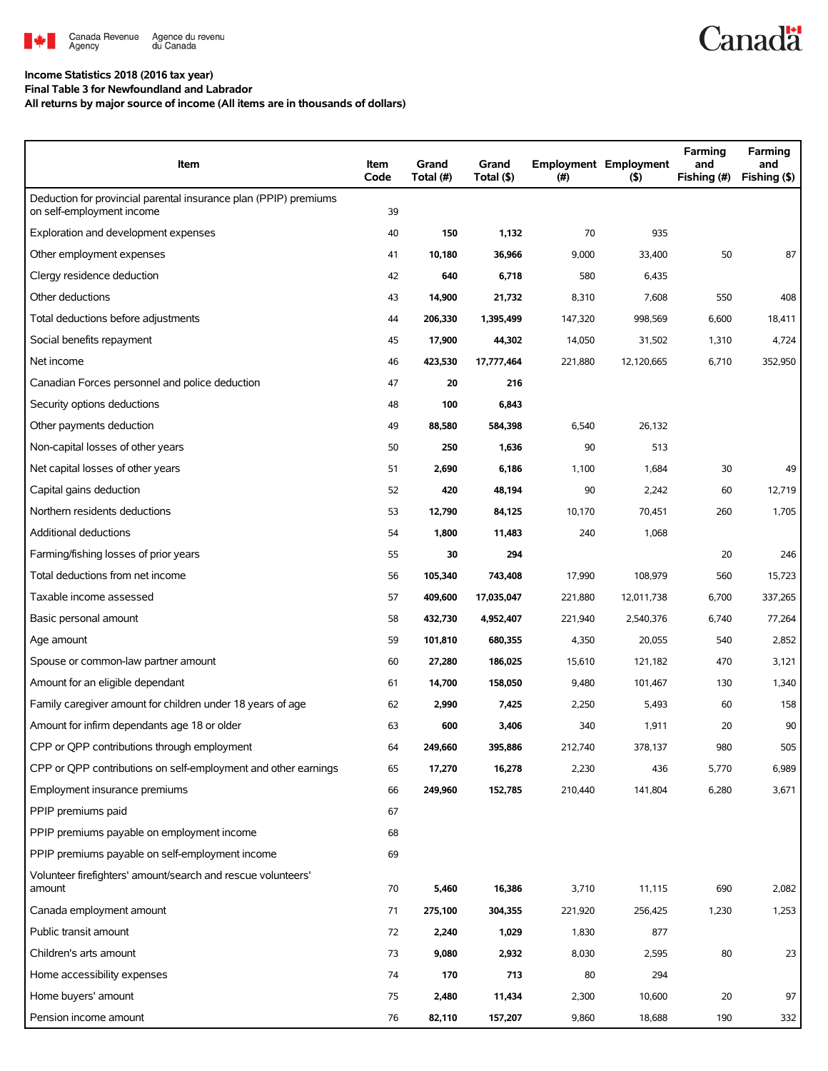

## **Income Statistics 2018 (2016 tax year)**

**Final Table 3 for Newfoundland and Labrador**

**All returns by major source of income (All items are in thousands of dollars)**

| Item                                                                                          | Item<br>Code | Grand<br>Total (#) | Grand<br>Total (\$) | $(\#)$  | <b>Employment Employment</b><br>$($ \$) | Farming<br>and<br>Fishing (#) | Farming<br>and<br>Fishing (\$) |
|-----------------------------------------------------------------------------------------------|--------------|--------------------|---------------------|---------|-----------------------------------------|-------------------------------|--------------------------------|
| Deduction for provincial parental insurance plan (PPIP) premiums<br>on self-employment income | 39           |                    |                     |         |                                         |                               |                                |
| Exploration and development expenses                                                          | 40           | 150                | 1,132               | 70      | 935                                     |                               |                                |
| Other employment expenses                                                                     | 41           | 10,180             | 36,966              | 9,000   | 33,400                                  | 50                            | 87                             |
| Clergy residence deduction                                                                    | 42           | 640                | 6,718               | 580     | 6,435                                   |                               |                                |
| Other deductions                                                                              | 43           | 14,900             | 21,732              | 8,310   | 7,608                                   | 550                           | 408                            |
| Total deductions before adjustments                                                           | 44           | 206,330            | 1,395,499           | 147,320 | 998,569                                 | 6,600                         | 18,411                         |
| Social benefits repayment                                                                     | 45           | 17,900             | 44,302              | 14,050  | 31,502                                  | 1,310                         | 4,724                          |
| Net income                                                                                    | 46           | 423,530            | 17,777,464          | 221,880 | 12,120,665                              | 6,710                         | 352,950                        |
| Canadian Forces personnel and police deduction                                                | 47           | 20                 | 216                 |         |                                         |                               |                                |
| Security options deductions                                                                   | 48           | 100                | 6,843               |         |                                         |                               |                                |
| Other payments deduction                                                                      | 49           | 88,580             | 584,398             | 6,540   | 26,132                                  |                               |                                |
| Non-capital losses of other years                                                             | 50           | 250                | 1,636               | 90      | 513                                     |                               |                                |
| Net capital losses of other years                                                             | 51           | 2,690              | 6,186               | 1,100   | 1,684                                   | 30                            | 49                             |
| Capital gains deduction                                                                       | 52           | 420                | 48,194              | 90      | 2,242                                   | 60                            | 12,719                         |
| Northern residents deductions                                                                 | 53           | 12,790             | 84,125              | 10,170  | 70,451                                  | 260                           | 1,705                          |
| Additional deductions                                                                         | 54           | 1,800              | 11,483              | 240     | 1,068                                   |                               |                                |
| Farming/fishing losses of prior years                                                         | 55           | 30                 | 294                 |         |                                         | 20                            | 246                            |
| Total deductions from net income                                                              | 56           | 105,340            | 743,408             | 17,990  | 108,979                                 | 560                           | 15,723                         |
| Taxable income assessed                                                                       | 57           | 409,600            | 17,035,047          | 221,880 | 12,011,738                              | 6,700                         | 337,265                        |
| Basic personal amount                                                                         | 58           | 432,730            | 4,952,407           | 221,940 | 2,540,376                               | 6,740                         | 77,264                         |
| Age amount                                                                                    | 59           | 101,810            | 680,355             | 4,350   | 20,055                                  | 540                           | 2,852                          |
| Spouse or common-law partner amount                                                           | 60           | 27,280             | 186,025             | 15,610  | 121,182                                 | 470                           | 3,121                          |
| Amount for an eligible dependant                                                              | 61           | 14,700             | 158,050             | 9,480   | 101,467                                 | 130                           | 1,340                          |
| Family caregiver amount for children under 18 years of age                                    | 62           | 2,990              | 7,425               | 2,250   | 5,493                                   | 60                            | 158                            |
| Amount for infirm dependants age 18 or older                                                  | 63           | 600                | 3,406               | 340     | 1,911                                   | 20                            | 90                             |
| CPP or QPP contributions through employment                                                   | 64           | 249,660            | 395,886             | 212,740 | 378,137                                 | 980                           | 505                            |
| CPP or OPP contributions on self-employment and other earnings                                | 65           | 17,270             | 16,278              | 2,230   | 436                                     | 5,770                         | 6,989                          |
| Employment insurance premiums                                                                 | 66           | 249,960            | 152,785             | 210,440 | 141,804                                 | 6,280                         | 3,671                          |
| PPIP premiums paid                                                                            | 67           |                    |                     |         |                                         |                               |                                |
| PPIP premiums payable on employment income                                                    | 68           |                    |                     |         |                                         |                               |                                |
| PPIP premiums payable on self-employment income                                               | 69           |                    |                     |         |                                         |                               |                                |
| Volunteer firefighters' amount/search and rescue volunteers'<br>amount                        | 70           | 5,460              | 16,386              | 3,710   | 11,115                                  | 690                           | 2,082                          |
| Canada employment amount                                                                      | 71           | 275,100            | 304,355             | 221,920 | 256,425                                 | 1,230                         | 1,253                          |
| Public transit amount                                                                         | 72           | 2,240              | 1,029               | 1,830   | 877                                     |                               |                                |
| Children's arts amount                                                                        | 73           | 9,080              | 2,932               | 8,030   | 2,595                                   | 80                            | 23                             |
| Home accessibility expenses                                                                   | 74           | 170                | 713                 | 80      | 294                                     |                               |                                |
| Home buyers' amount                                                                           | 75           | 2,480              | 11,434              | 2,300   | 10,600                                  | 20                            | 97                             |
| Pension income amount                                                                         | 76           | 82,110             | 157,207             | 9,860   | 18,688                                  | 190                           | 332                            |

**Canadä**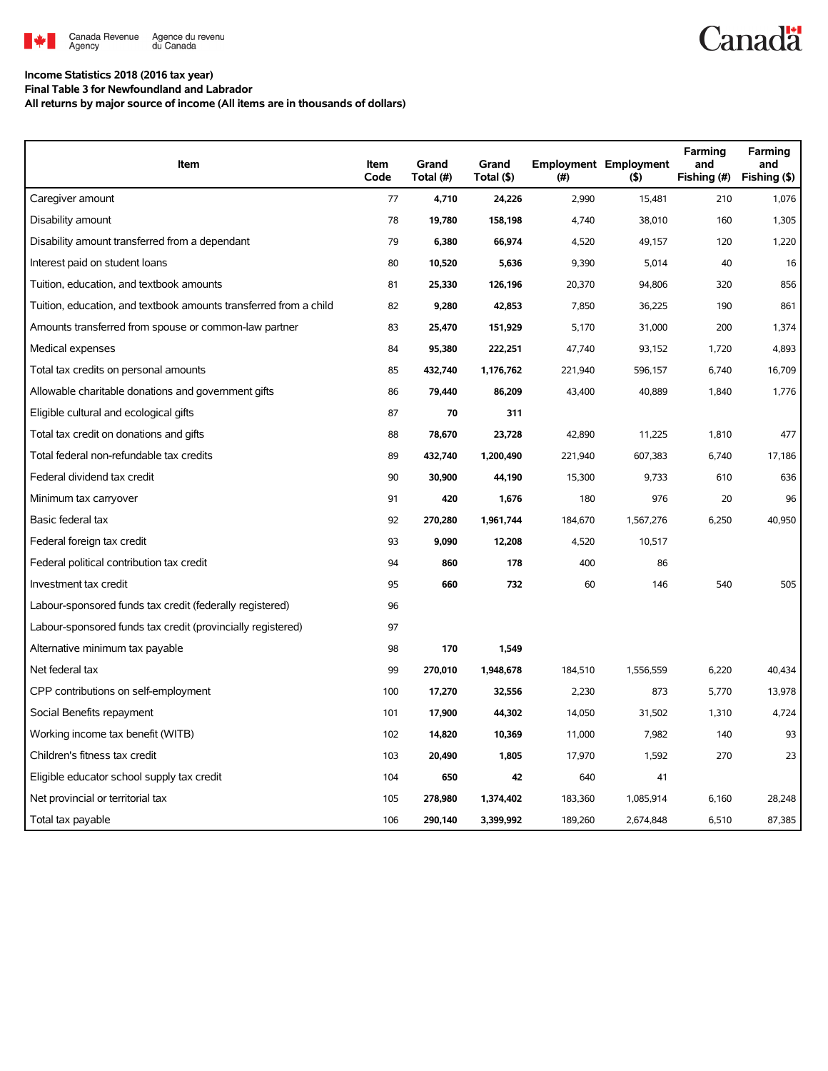

## **Canadä**

## **Income Statistics 2018 (2016 tax year)**

**Final Table 3 for Newfoundland and Labrador**

**All returns by major source of income (All items are in thousands of dollars)**

| Item                                                              | Item<br>Code | Grand<br>Total (#) | Grand<br>Total (\$) | $(\#)$  | <b>Employment Employment</b><br>$($ \$) | Farming<br>and<br>Fishing (#) | Farming<br>and<br>Fishing (\$) |
|-------------------------------------------------------------------|--------------|--------------------|---------------------|---------|-----------------------------------------|-------------------------------|--------------------------------|
| Caregiver amount                                                  | 77           | 4,710              | 24,226              | 2,990   | 15,481                                  | 210                           | 1,076                          |
| Disability amount                                                 | 78           | 19,780             | 158,198             | 4,740   | 38,010                                  | 160                           | 1,305                          |
| Disability amount transferred from a dependant                    | 79           | 6,380              | 66,974              | 4,520   | 49,157                                  | 120                           | 1,220                          |
| Interest paid on student loans                                    | 80           | 10,520             | 5,636               | 9,390   | 5,014                                   | 40                            | 16                             |
| Tuition, education, and textbook amounts                          | 81           | 25,330             | 126,196             | 20,370  | 94,806                                  | 320                           | 856                            |
| Tuition, education, and textbook amounts transferred from a child | 82           | 9,280              | 42,853              | 7,850   | 36,225                                  | 190                           | 861                            |
| Amounts transferred from spouse or common-law partner             | 83           | 25,470             | 151,929             | 5,170   | 31,000                                  | 200                           | 1,374                          |
| Medical expenses                                                  | 84           | 95,380             | 222,251             | 47,740  | 93,152                                  | 1,720                         | 4,893                          |
| Total tax credits on personal amounts                             | 85           | 432,740            | 1,176,762           | 221,940 | 596,157                                 | 6,740                         | 16,709                         |
| Allowable charitable donations and government gifts               | 86           | 79,440             | 86,209              | 43,400  | 40,889                                  | 1,840                         | 1,776                          |
| Eligible cultural and ecological gifts                            | 87           | 70                 | 311                 |         |                                         |                               |                                |
| Total tax credit on donations and gifts                           | 88           | 78,670             | 23,728              | 42,890  | 11,225                                  | 1,810                         | 477                            |
| Total federal non-refundable tax credits                          | 89           | 432,740            | 1,200,490           | 221,940 | 607,383                                 | 6,740                         | 17,186                         |
| Federal dividend tax credit                                       | 90           | 30,900             | 44,190              | 15,300  | 9,733                                   | 610                           | 636                            |
| Minimum tax carryover                                             | 91           | 420                | 1,676               | 180     | 976                                     | 20                            | 96                             |
| Basic federal tax                                                 | 92           | 270,280            | 1,961,744           | 184,670 | 1,567,276                               | 6,250                         | 40,950                         |
| Federal foreign tax credit                                        | 93           | 9,090              | 12,208              | 4,520   | 10,517                                  |                               |                                |
| Federal political contribution tax credit                         | 94           | 860                | 178                 | 400     | 86                                      |                               |                                |
| Investment tax credit                                             | 95           | 660                | 732                 | 60      | 146                                     | 540                           | 505                            |
| Labour-sponsored funds tax credit (federally registered)          | 96           |                    |                     |         |                                         |                               |                                |
| Labour-sponsored funds tax credit (provincially registered)       | 97           |                    |                     |         |                                         |                               |                                |
| Alternative minimum tax payable                                   | 98           | 170                | 1,549               |         |                                         |                               |                                |
| Net federal tax                                                   | 99           | 270,010            | 1,948,678           | 184,510 | 1,556,559                               | 6,220                         | 40,434                         |
| CPP contributions on self-employment                              | 100          | 17,270             | 32,556              | 2,230   | 873                                     | 5,770                         | 13,978                         |
| Social Benefits repayment                                         | 101          | 17,900             | 44,302              | 14,050  | 31,502                                  | 1,310                         | 4,724                          |
| Working income tax benefit (WITB)                                 | 102          | 14,820             | 10,369              | 11,000  | 7,982                                   | 140                           | 93                             |
| Children's fitness tax credit                                     | 103          | 20,490             | 1,805               | 17,970  | 1,592                                   | 270                           | 23                             |
| Eligible educator school supply tax credit                        | 104          | 650                | 42                  | 640     | 41                                      |                               |                                |
| Net provincial or territorial tax                                 | 105          | 278,980            | 1,374,402           | 183,360 | 1,085,914                               | 6,160                         | 28,248                         |
| Total tax payable                                                 | 106          | 290,140            | 3,399,992           | 189,260 | 2,674,848                               | 6,510                         | 87,385                         |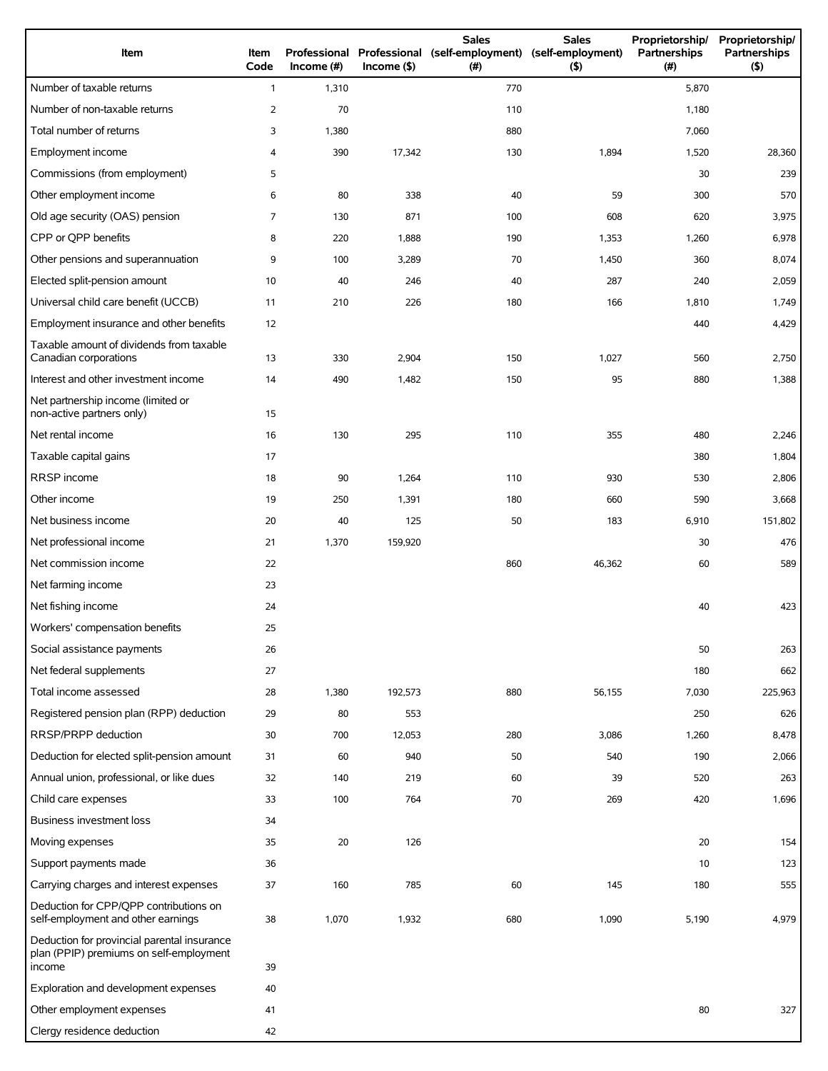| Item                                                                                             | Item<br>Code   | Professional<br>Income $#)$ | $Income($ \$) | <b>Sales</b><br>Professional (self-employment)<br>(#) | <b>Sales</b><br>(self-employment)<br>(5) | Proprietorship/<br>Partnerships<br>(#) | Proprietorship/<br>Partnerships<br>(5) |
|--------------------------------------------------------------------------------------------------|----------------|-----------------------------|---------------|-------------------------------------------------------|------------------------------------------|----------------------------------------|----------------------------------------|
| Number of taxable returns                                                                        | $\mathbf{1}$   | 1,310                       |               | 770                                                   |                                          | 5,870                                  |                                        |
| Number of non-taxable returns                                                                    | $\overline{2}$ | 70                          |               | 110                                                   |                                          | 1,180                                  |                                        |
| Total number of returns                                                                          | 3              | 1,380                       |               | 880                                                   |                                          | 7,060                                  |                                        |
| Employment income                                                                                | 4              | 390                         | 17,342        | 130                                                   | 1,894                                    | 1,520                                  | 28,360                                 |
| Commissions (from employment)                                                                    | 5              |                             |               |                                                       |                                          | 30                                     | 239                                    |
| Other employment income                                                                          | 6              | 80                          | 338           | 40                                                    | 59                                       | 300                                    | 570                                    |
| Old age security (OAS) pension                                                                   | 7              | 130                         | 871           | 100                                                   | 608                                      | 620                                    | 3,975                                  |
| CPP or QPP benefits                                                                              | 8              | 220                         | 1,888         | 190                                                   | 1,353                                    | 1,260                                  | 6,978                                  |
| Other pensions and superannuation                                                                | 9              | 100                         | 3,289         | 70                                                    | 1,450                                    | 360                                    | 8,074                                  |
| Elected split-pension amount                                                                     | 10             | 40                          | 246           | 40                                                    | 287                                      | 240                                    | 2,059                                  |
| Universal child care benefit (UCCB)                                                              | 11             | 210                         | 226           | 180                                                   | 166                                      | 1,810                                  | 1,749                                  |
| Employment insurance and other benefits                                                          | 12             |                             |               |                                                       |                                          | 440                                    | 4,429                                  |
| Taxable amount of dividends from taxable<br>Canadian corporations                                | 13             | 330                         | 2,904         | 150                                                   | 1,027                                    | 560                                    | 2,750                                  |
| Interest and other investment income                                                             | 14             | 490                         | 1,482         | 150                                                   | 95                                       | 880                                    | 1,388                                  |
| Net partnership income (limited or<br>non-active partners only)                                  | 15             |                             |               |                                                       |                                          |                                        |                                        |
| Net rental income                                                                                | 16             | 130                         | 295           | 110                                                   | 355                                      | 480                                    | 2,246                                  |
| Taxable capital gains                                                                            | 17             |                             |               |                                                       |                                          | 380                                    | 1,804                                  |
| RRSP income                                                                                      | 18             | 90                          | 1,264         | 110                                                   | 930                                      | 530                                    | 2,806                                  |
| Other income                                                                                     | 19             | 250                         | 1,391         | 180                                                   | 660                                      | 590                                    | 3,668                                  |
| Net business income                                                                              | 20             | 40                          | 125           | 50                                                    | 183                                      | 6,910                                  | 151,802                                |
| Net professional income                                                                          | 21             | 1,370                       | 159,920       |                                                       |                                          | 30                                     | 476                                    |
| Net commission income                                                                            | 22             |                             |               | 860                                                   | 46,362                                   | 60                                     | 589                                    |
| Net farming income                                                                               | 23             |                             |               |                                                       |                                          |                                        |                                        |
| Net fishing income                                                                               | 24             |                             |               |                                                       |                                          | 40                                     | 423                                    |
| Workers' compensation benefits                                                                   | 25             |                             |               |                                                       |                                          |                                        |                                        |
| Social assistance payments                                                                       | 26             |                             |               |                                                       |                                          | 50                                     | 263                                    |
| Net federal supplements                                                                          | 27             |                             |               |                                                       |                                          | 180                                    | 662                                    |
| Total income assessed                                                                            | 28             | 1,380                       | 192,573       | 880                                                   | 56,155                                   | 7,030                                  | 225,963                                |
| Registered pension plan (RPP) deduction                                                          | 29             | 80                          | 553           |                                                       |                                          | 250                                    | 626                                    |
| RRSP/PRPP deduction                                                                              | 30             | 700                         | 12,053        | 280                                                   | 3,086                                    | 1,260                                  | 8,478                                  |
| Deduction for elected split-pension amount                                                       | 31             | 60                          | 940           | 50                                                    | 540                                      | 190                                    | 2,066                                  |
| Annual union, professional, or like dues                                                         | 32             | 140                         | 219           | 60                                                    | 39                                       | 520                                    | 263                                    |
| Child care expenses                                                                              | 33             | 100                         | 764           | 70                                                    | 269                                      | 420                                    | 1,696                                  |
| Business investment loss                                                                         | 34             |                             |               |                                                       |                                          |                                        |                                        |
| Moving expenses                                                                                  | 35             | 20                          | 126           |                                                       |                                          | 20                                     | 154                                    |
| Support payments made                                                                            | 36             |                             |               |                                                       |                                          | 10                                     | 123                                    |
| Carrying charges and interest expenses                                                           | 37             | 160                         | 785           | 60                                                    | 145                                      | 180                                    | 555                                    |
| Deduction for CPP/QPP contributions on<br>self-employment and other earnings                     | 38             | 1,070                       | 1,932         | 680                                                   | 1,090                                    | 5,190                                  | 4,979                                  |
| Deduction for provincial parental insurance<br>plan (PPIP) premiums on self-employment<br>income | 39             |                             |               |                                                       |                                          |                                        |                                        |
| Exploration and development expenses                                                             | 40             |                             |               |                                                       |                                          |                                        |                                        |
| Other employment expenses                                                                        | 41             |                             |               |                                                       |                                          | 80                                     | 327                                    |
| Clergy residence deduction                                                                       | 42             |                             |               |                                                       |                                          |                                        |                                        |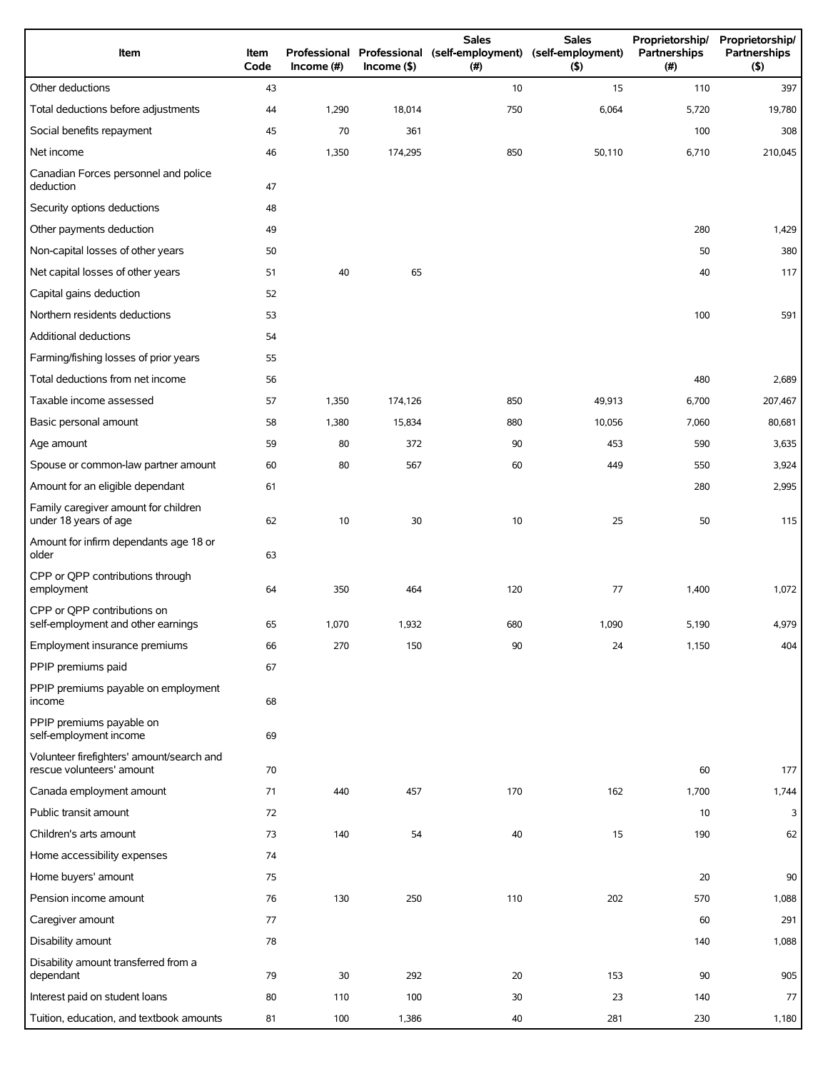| Item                                                                   | Item<br>Code | Income $(\#)$ | $Income$ (\$) | <b>Sales</b><br>Professional Professional (self-employment) (self-employment)<br>(# ) | <b>Sales</b><br>(5) | Proprietorship/<br>Partnerships<br>(# ) | Proprietorship/<br>Partnerships<br>(5) |
|------------------------------------------------------------------------|--------------|---------------|---------------|---------------------------------------------------------------------------------------|---------------------|-----------------------------------------|----------------------------------------|
| Other deductions                                                       | 43           |               |               | 10                                                                                    | 15                  | 110                                     | 397                                    |
| Total deductions before adjustments                                    | 44           | 1,290         | 18,014        | 750                                                                                   | 6,064               | 5,720                                   | 19,780                                 |
| Social benefits repayment                                              | 45           | 70            | 361           |                                                                                       |                     | 100                                     | 308                                    |
| Net income                                                             | 46           | 1,350         | 174,295       | 850                                                                                   | 50,110              | 6,710                                   | 210,045                                |
| Canadian Forces personnel and police<br>deduction                      | 47           |               |               |                                                                                       |                     |                                         |                                        |
| Security options deductions                                            | 48           |               |               |                                                                                       |                     |                                         |                                        |
| Other payments deduction                                               | 49           |               |               |                                                                                       |                     | 280                                     | 1,429                                  |
| Non-capital losses of other years                                      | 50           |               |               |                                                                                       |                     | 50                                      | 380                                    |
| Net capital losses of other years                                      | 51           | 40            | 65            |                                                                                       |                     | 40                                      | 117                                    |
| Capital gains deduction                                                | 52           |               |               |                                                                                       |                     |                                         |                                        |
| Northern residents deductions                                          | 53           |               |               |                                                                                       |                     | 100                                     | 591                                    |
| Additional deductions                                                  | 54           |               |               |                                                                                       |                     |                                         |                                        |
| Farming/fishing losses of prior years                                  | 55           |               |               |                                                                                       |                     |                                         |                                        |
| Total deductions from net income                                       | 56           |               |               |                                                                                       |                     | 480                                     | 2,689                                  |
| Taxable income assessed                                                | 57           | 1,350         | 174,126       | 850                                                                                   | 49,913              | 6,700                                   | 207,467                                |
| Basic personal amount                                                  | 58           | 1,380         | 15,834        | 880                                                                                   | 10,056              | 7,060                                   | 80,681                                 |
| Age amount                                                             | 59           | 80            | 372           | 90                                                                                    | 453                 | 590                                     | 3,635                                  |
| Spouse or common-law partner amount                                    | 60           | 80            | 567           | 60                                                                                    | 449                 | 550                                     | 3,924                                  |
| Amount for an eligible dependant                                       | 61           |               |               |                                                                                       |                     | 280                                     | 2,995                                  |
| Family caregiver amount for children<br>under 18 years of age          | 62           | 10            | 30            | 10                                                                                    | 25                  | 50                                      | 115                                    |
| Amount for infirm dependants age 18 or<br>older                        | 63           |               |               |                                                                                       |                     |                                         |                                        |
| CPP or QPP contributions through<br>employment                         | 64           | 350           | 464           | 120                                                                                   | 77                  | 1,400                                   | 1,072                                  |
| CPP or QPP contributions on<br>self-employment and other earnings      | 65           | 1,070         | 1,932         | 680                                                                                   | 1,090               | 5,190                                   | 4,979                                  |
| Employment insurance premiums                                          | 66           | 270           | 150           | 90                                                                                    | 24                  | 1,150                                   | 404                                    |
| PPIP premiums paid                                                     | 67           |               |               |                                                                                       |                     |                                         |                                        |
| PPIP premiums payable on employment<br>income                          | 68           |               |               |                                                                                       |                     |                                         |                                        |
| PPIP premiums payable on<br>self-employment income                     | 69           |               |               |                                                                                       |                     |                                         |                                        |
| Volunteer firefighters' amount/search and<br>rescue volunteers' amount | 70           |               |               |                                                                                       |                     | 60                                      | 177                                    |
| Canada employment amount                                               | 71           | 440           | 457           | 170                                                                                   | 162                 | 1,700                                   | 1,744                                  |
| Public transit amount                                                  | 72           |               |               |                                                                                       |                     | 10                                      | 3                                      |
| Children's arts amount                                                 | 73           | 140           | 54            | 40                                                                                    | 15                  | 190                                     | 62                                     |
| Home accessibility expenses                                            | 74           |               |               |                                                                                       |                     |                                         |                                        |
| Home buyers' amount                                                    | 75           |               |               |                                                                                       |                     | 20                                      | 90                                     |
| Pension income amount                                                  | 76           | 130           | 250           | 110                                                                                   | 202                 | 570                                     | 1,088                                  |
| Caregiver amount                                                       | 77           |               |               |                                                                                       |                     | 60                                      | 291                                    |
| Disability amount                                                      | 78           |               |               |                                                                                       |                     | 140                                     | 1,088                                  |
| Disability amount transferred from a<br>dependant                      | 79           | 30            | 292           | 20                                                                                    | 153                 | 90                                      | 905                                    |
| Interest paid on student loans                                         | 80           | 110           | 100           | 30                                                                                    | 23                  | 140                                     | 77                                     |
| Tuition, education, and textbook amounts                               | 81           | 100           | 1,386         | 40                                                                                    | 281                 | 230                                     | 1,180                                  |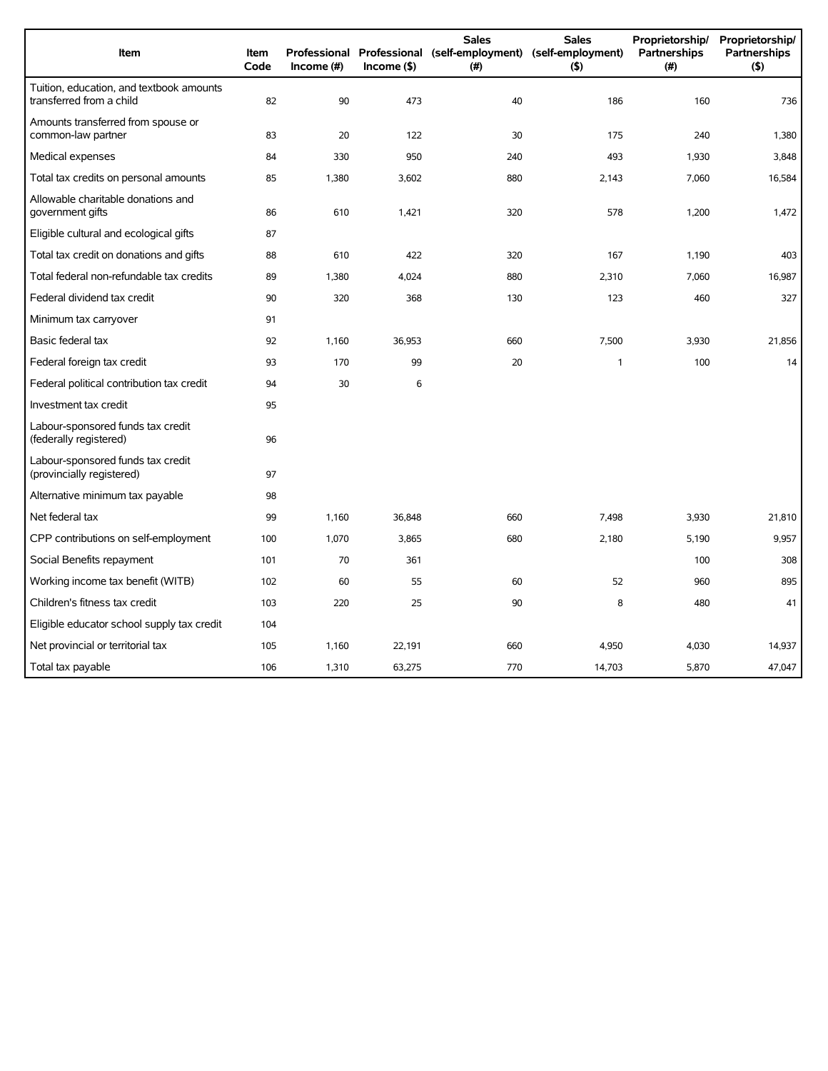| Item                                                                 | <b>Item</b><br>Code | Income $(\#)$ | $Income($ \$) | <b>Sales</b><br>Professional Professional (self-employment) (self-employment)<br>(#) | <b>Sales</b><br>$($ \$) | Proprietorship/<br>Partnerships<br>(#) | Proprietorship/<br><b>Partnerships</b><br>(5) |
|----------------------------------------------------------------------|---------------------|---------------|---------------|--------------------------------------------------------------------------------------|-------------------------|----------------------------------------|-----------------------------------------------|
| Tuition, education, and textbook amounts<br>transferred from a child | 82                  | 90            | 473           | 40                                                                                   | 186                     | 160                                    | 736                                           |
| Amounts transferred from spouse or<br>common-law partner             | 83                  | 20            | 122           | 30                                                                                   | 175                     | 240                                    | 1,380                                         |
| Medical expenses                                                     | 84                  | 330           | 950           | 240                                                                                  | 493                     | 1,930                                  | 3,848                                         |
| Total tax credits on personal amounts                                | 85                  | 1,380         | 3,602         | 880                                                                                  | 2,143                   | 7,060                                  | 16,584                                        |
| Allowable charitable donations and<br>government gifts               | 86                  | 610           | 1,421         | 320                                                                                  | 578                     | 1,200                                  | 1,472                                         |
| Eligible cultural and ecological gifts                               | 87                  |               |               |                                                                                      |                         |                                        |                                               |
| Total tax credit on donations and gifts                              | 88                  | 610           | 422           | 320                                                                                  | 167                     | 1,190                                  | 403                                           |
| Total federal non-refundable tax credits                             | 89                  | 1,380         | 4,024         | 880                                                                                  | 2,310                   | 7,060                                  | 16,987                                        |
| Federal dividend tax credit                                          | 90                  | 320           | 368           | 130                                                                                  | 123                     | 460                                    | 327                                           |
| Minimum tax carryover                                                | 91                  |               |               |                                                                                      |                         |                                        |                                               |
| Basic federal tax                                                    | 92                  | 1,160         | 36,953        | 660                                                                                  | 7,500                   | 3,930                                  | 21,856                                        |
| Federal foreign tax credit                                           | 93                  | 170           | 99            | 20                                                                                   | 1                       | 100                                    | 14                                            |
| Federal political contribution tax credit                            | 94                  | 30            | 6             |                                                                                      |                         |                                        |                                               |
| Investment tax credit                                                | 95                  |               |               |                                                                                      |                         |                                        |                                               |
| Labour-sponsored funds tax credit<br>(federally registered)          | 96                  |               |               |                                                                                      |                         |                                        |                                               |
| Labour-sponsored funds tax credit<br>(provincially registered)       | 97                  |               |               |                                                                                      |                         |                                        |                                               |
| Alternative minimum tax payable                                      | 98                  |               |               |                                                                                      |                         |                                        |                                               |
| Net federal tax                                                      | 99                  | 1,160         | 36,848        | 660                                                                                  | 7,498                   | 3,930                                  | 21,810                                        |
| CPP contributions on self-employment                                 | 100                 | 1,070         | 3,865         | 680                                                                                  | 2,180                   | 5,190                                  | 9,957                                         |
| Social Benefits repayment                                            | 101                 | 70            | 361           |                                                                                      |                         | 100                                    | 308                                           |
| Working income tax benefit (WITB)                                    | 102                 | 60            | 55            | 60                                                                                   | 52                      | 960                                    | 895                                           |
| Children's fitness tax credit                                        | 103                 | 220           | 25            | 90                                                                                   | 8                       | 480                                    | 41                                            |
| Eligible educator school supply tax credit                           | 104                 |               |               |                                                                                      |                         |                                        |                                               |
| Net provincial or territorial tax                                    | 105                 | 1,160         | 22,191        | 660                                                                                  | 4,950                   | 4,030                                  | 14,937                                        |
| Total tax payable                                                    | 106                 | 1,310         | 63,275        | 770                                                                                  | 14,703                  | 5,870                                  | 47,047                                        |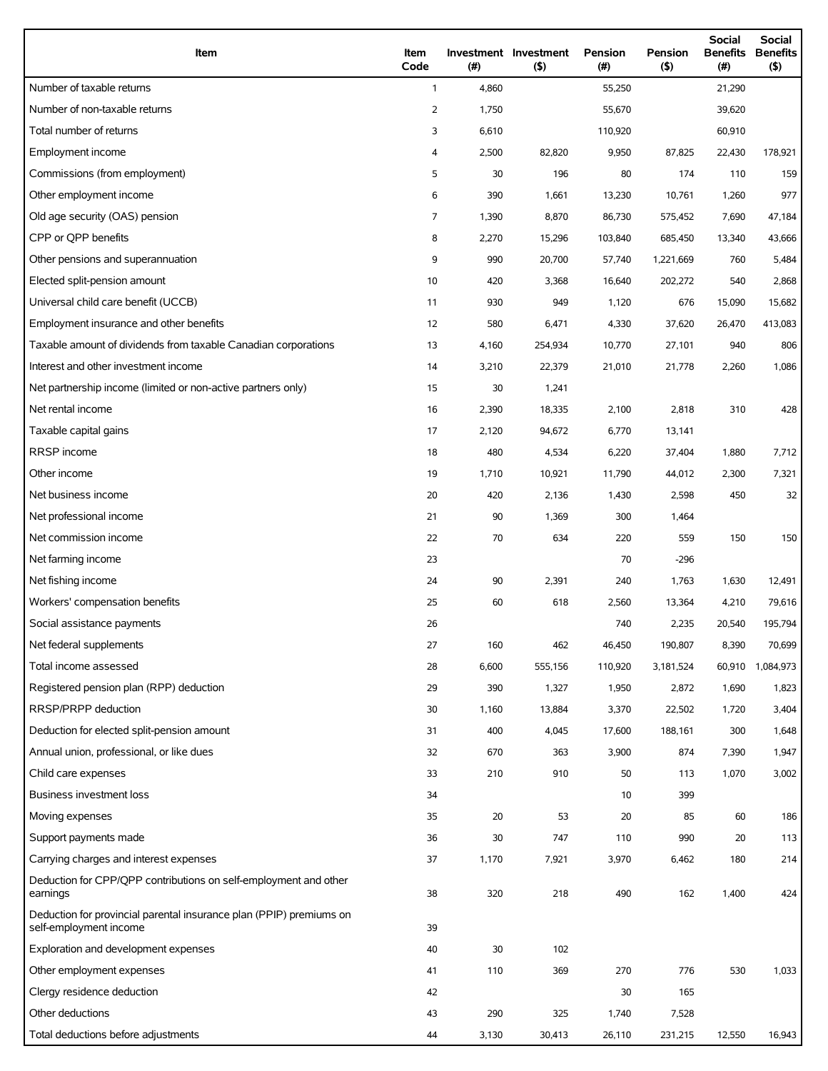| Item                                                                                          | Item<br>Code   | (#)   | Investment Investment<br>$($ \$) | Pension<br>(#) | Pension<br>(5) | Social<br><b>Benefits</b><br>(#) | Social<br><b>Benefits</b><br>$($ \$) |
|-----------------------------------------------------------------------------------------------|----------------|-------|----------------------------------|----------------|----------------|----------------------------------|--------------------------------------|
| Number of taxable returns                                                                     | $\mathbf{1}$   | 4,860 |                                  | 55,250         |                | 21,290                           |                                      |
| Number of non-taxable returns                                                                 | 2              | 1,750 |                                  | 55,670         |                | 39,620                           |                                      |
| Total number of returns                                                                       | 3              | 6,610 |                                  | 110,920        |                | 60,910                           |                                      |
| Employment income                                                                             | 4              | 2,500 | 82,820                           | 9,950          | 87,825         | 22,430                           | 178,921                              |
| Commissions (from employment)                                                                 | 5              | 30    | 196                              | 80             | 174            | 110                              | 159                                  |
| Other employment income                                                                       | 6              | 390   | 1,661                            | 13,230         | 10,761         | 1,260                            | 977                                  |
| Old age security (OAS) pension                                                                | $\overline{7}$ | 1,390 | 8,870                            | 86,730         | 575,452        | 7,690                            | 47,184                               |
| CPP or OPP benefits                                                                           | 8              | 2,270 | 15,296                           | 103,840        | 685,450        | 13,340                           | 43,666                               |
| Other pensions and superannuation                                                             | 9              | 990   | 20,700                           | 57,740         | 1,221,669      | 760                              | 5,484                                |
| Elected split-pension amount                                                                  | 10             | 420   | 3,368                            | 16,640         | 202,272        | 540                              | 2,868                                |
| Universal child care benefit (UCCB)                                                           | 11             | 930   | 949                              | 1,120          | 676            | 15,090                           | 15,682                               |
| Employment insurance and other benefits                                                       | 12             | 580   | 6,471                            | 4,330          | 37,620         | 26,470                           | 413,083                              |
| Taxable amount of dividends from taxable Canadian corporations                                | 13             | 4,160 | 254,934                          | 10,770         | 27,101         | 940                              | 806                                  |
| Interest and other investment income                                                          | 14             | 3,210 | 22,379                           | 21,010         | 21,778         | 2,260                            | 1,086                                |
| Net partnership income (limited or non-active partners only)                                  | 15             | 30    | 1,241                            |                |                |                                  |                                      |
| Net rental income                                                                             | 16             | 2,390 | 18,335                           | 2,100          | 2,818          | 310                              | 428                                  |
| Taxable capital gains                                                                         | 17             | 2,120 | 94,672                           | 6,770          | 13,141         |                                  |                                      |
| RRSP income                                                                                   | 18             | 480   | 4,534                            | 6,220          | 37,404         | 1,880                            | 7,712                                |
| Other income                                                                                  | 19             | 1,710 | 10,921                           | 11,790         | 44,012         | 2,300                            | 7,321                                |
| Net business income                                                                           | 20             | 420   | 2,136                            | 1,430          | 2,598          | 450                              | 32                                   |
| Net professional income                                                                       | 21             | 90    | 1,369                            | 300            | 1,464          |                                  |                                      |
| Net commission income                                                                         | 22             | 70    | 634                              | 220            | 559            | 150                              | 150                                  |
| Net farming income                                                                            | 23             |       |                                  | 70             | $-296$         |                                  |                                      |
| Net fishing income                                                                            | 24             | 90    | 2,391                            | 240            | 1,763          | 1,630                            | 12,491                               |
| Workers' compensation benefits                                                                | 25             | 60    | 618                              | 2,560          | 13,364         | 4,210                            | 79,616                               |
| Social assistance payments                                                                    | 26             |       |                                  | 740            | 2,235          | 20,540                           | 195,794                              |
| Net federal supplements                                                                       | 27             | 160   | 462                              | 46,450         | 190,807        | 8,390                            | 70,699                               |
| Total income assessed                                                                         | 28             | 6,600 | 555,156                          | 110,920        | 3,181,524      | 60,910                           | 1,084,973                            |
| Registered pension plan (RPP) deduction                                                       | 29             | 390   | 1,327                            | 1,950          | 2,872          | 1,690                            | 1,823                                |
| RRSP/PRPP deduction                                                                           | 30             | 1,160 | 13,884                           | 3,370          | 22,502         | 1,720                            | 3,404                                |
| Deduction for elected split-pension amount                                                    | 31             | 400   | 4,045                            | 17,600         | 188,161        | 300                              | 1,648                                |
| Annual union, professional, or like dues                                                      | 32             | 670   | 363                              | 3,900          | 874            | 7,390                            | 1,947                                |
| Child care expenses                                                                           | 33             | 210   | 910                              | 50             | 113            | 1,070                            | 3,002                                |
| Business investment loss                                                                      | 34             |       |                                  | 10             | 399            |                                  |                                      |
| Moving expenses                                                                               | 35             | 20    | 53                               | 20             | 85             | 60                               | 186                                  |
| Support payments made                                                                         | 36             | 30    | 747                              | 110            | 990            | 20                               | 113                                  |
| Carrying charges and interest expenses                                                        | 37             | 1,170 | 7,921                            | 3,970          | 6,462          | 180                              | 214                                  |
| Deduction for CPP/QPP contributions on self-employment and other<br>earnings                  | 38             | 320   | 218                              | 490            | 162            | 1,400                            | 424                                  |
| Deduction for provincial parental insurance plan (PPIP) premiums on<br>self-employment income | 39             |       |                                  |                |                |                                  |                                      |
| Exploration and development expenses                                                          | 40             | 30    | 102                              |                |                |                                  |                                      |
| Other employment expenses                                                                     | 41             | 110   | 369                              | 270            | 776            | 530                              | 1,033                                |
| Clergy residence deduction                                                                    | 42             |       |                                  | 30             | 165            |                                  |                                      |
| Other deductions                                                                              | 43             | 290   | 325                              | 1,740          | 7,528          |                                  |                                      |
| Total deductions before adjustments                                                           | 44             | 3,130 | 30,413                           | 26,110         | 231,215        | 12,550                           | 16,943                               |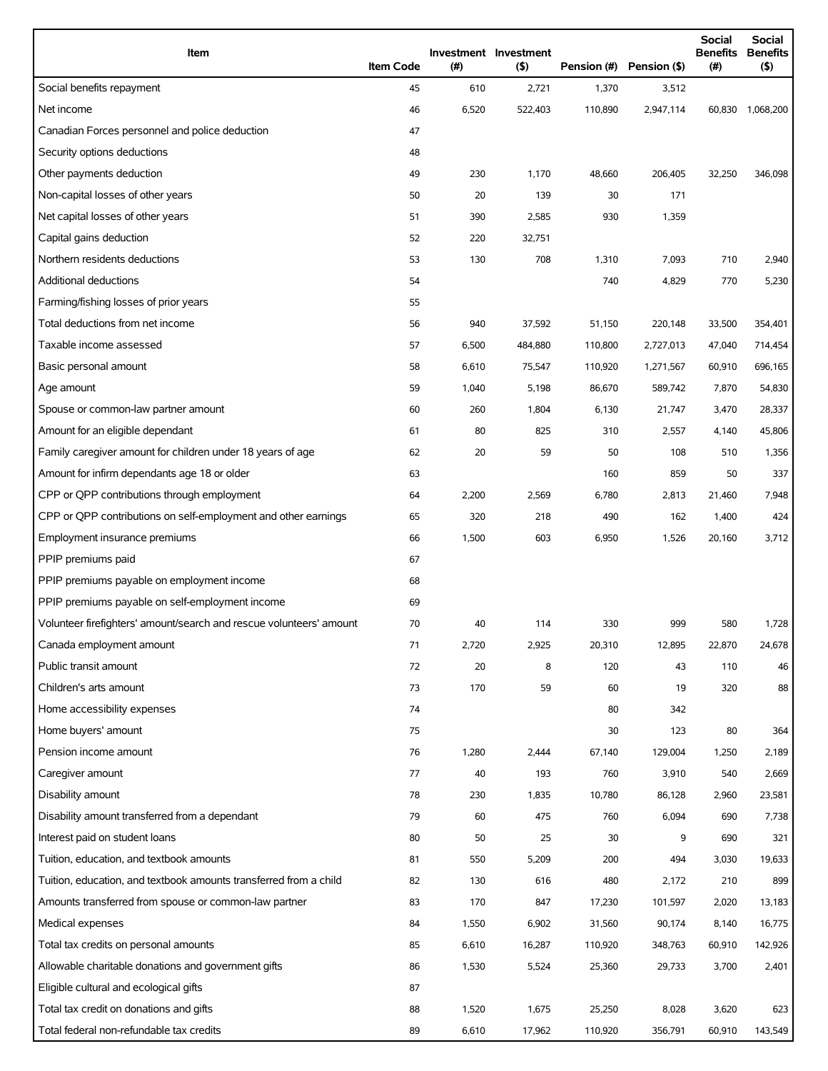| Item                                                                | <b>Item Code</b> | (#)   | Investment Investment<br>(5) | Pension (#) | Pension (\$) | <b>Social</b><br><b>Benefits</b><br>(# ) | Social<br><b>Benefits</b><br>(5) |
|---------------------------------------------------------------------|------------------|-------|------------------------------|-------------|--------------|------------------------------------------|----------------------------------|
| Social benefits repayment                                           | 45               | 610   | 2,721                        | 1,370       | 3,512        |                                          |                                  |
| Net income                                                          | 46               | 6,520 | 522,403                      | 110,890     | 2,947,114    | 60,830                                   | 1,068,200                        |
| Canadian Forces personnel and police deduction                      | 47               |       |                              |             |              |                                          |                                  |
| Security options deductions                                         | 48               |       |                              |             |              |                                          |                                  |
| Other payments deduction                                            | 49               | 230   | 1,170                        | 48,660      | 206,405      | 32,250                                   | 346,098                          |
| Non-capital losses of other years                                   | 50               | 20    | 139                          | 30          | 171          |                                          |                                  |
| Net capital losses of other years                                   | 51               | 390   | 2,585                        | 930         | 1,359        |                                          |                                  |
| Capital gains deduction                                             | 52               | 220   | 32,751                       |             |              |                                          |                                  |
| Northern residents deductions                                       | 53               | 130   | 708                          | 1,310       | 7,093        | 710                                      | 2,940                            |
| Additional deductions                                               | 54               |       |                              | 740         | 4,829        | 770                                      | 5,230                            |
| Farming/fishing losses of prior years                               | 55               |       |                              |             |              |                                          |                                  |
| Total deductions from net income                                    | 56               | 940   | 37,592                       | 51,150      | 220,148      | 33,500                                   | 354,401                          |
| Taxable income assessed                                             | 57               | 6,500 | 484,880                      | 110,800     | 2,727,013    | 47,040                                   | 714,454                          |
| Basic personal amount                                               | 58               | 6,610 | 75,547                       | 110,920     | 1.271.567    | 60,910                                   | 696,165                          |
| Age amount                                                          | 59               | 1,040 | 5,198                        | 86,670      | 589,742      | 7,870                                    | 54,830                           |
| Spouse or common-law partner amount                                 | 60               | 260   | 1,804                        | 6,130       | 21,747       | 3,470                                    | 28,337                           |
| Amount for an eligible dependant                                    | 61               | 80    | 825                          | 310         | 2,557        | 4,140                                    | 45,806                           |
| Family caregiver amount for children under 18 years of age          | 62               | 20    | 59                           | 50          | 108          | 510                                      | 1,356                            |
| Amount for infirm dependants age 18 or older                        | 63               |       |                              | 160         | 859          | 50                                       | 337                              |
| CPP or QPP contributions through employment                         | 64               | 2,200 | 2,569                        | 6,780       | 2,813        | 21,460                                   | 7,948                            |
| CPP or QPP contributions on self-employment and other earnings      | 65               | 320   | 218                          | 490         | 162          | 1,400                                    | 424                              |
| Employment insurance premiums                                       | 66               | 1,500 | 603                          | 6,950       | 1,526        | 20,160                                   | 3,712                            |
| PPIP premiums paid                                                  | 67               |       |                              |             |              |                                          |                                  |
| PPIP premiums payable on employment income                          | 68               |       |                              |             |              |                                          |                                  |
| PPIP premiums payable on self-employment income                     | 69               |       |                              |             |              |                                          |                                  |
| Volunteer firefighters' amount/search and rescue volunteers' amount | 70               | 40    | 114                          | 330         | 999          | 580                                      | 1,728                            |
| Canada employment amount                                            | 71               | 2,720 | 2,925                        | 20,310      | 12,895       | 22,870                                   | 24,678                           |
| Public transit amount                                               | 72               | 20    | 8                            | 120         | 43           | 110                                      | 46                               |
| Children's arts amount                                              | 73               | 170   | 59                           | 60          | 19           | 320                                      | 88                               |
| Home accessibility expenses                                         | 74               |       |                              | 80          | 342          |                                          |                                  |
| Home buyers' amount                                                 | 75               |       |                              | 30          | 123          | 80                                       | 364                              |
| Pension income amount                                               | 76               | 1,280 | 2,444                        | 67,140      | 129,004      | 1,250                                    | 2,189                            |
| Caregiver amount                                                    | 77               | 40    | 193                          | 760         | 3,910        | 540                                      | 2,669                            |
| Disability amount                                                   | 78               | 230   | 1,835                        | 10,780      | 86,128       | 2,960                                    | 23,581                           |
| Disability amount transferred from a dependant                      | 79               | 60    | 475                          | 760         | 6,094        | 690                                      | 7,738                            |
| Interest paid on student loans                                      | 80               | 50    | 25                           | 30          | 9            | 690                                      | 321                              |
| Tuition, education, and textbook amounts                            | 81               | 550   | 5,209                        | 200         | 494          | 3,030                                    | 19,633                           |
| Tuition, education, and textbook amounts transferred from a child   | 82               | 130   | 616                          | 480         | 2,172        | 210                                      | 899                              |
| Amounts transferred from spouse or common-law partner               | 83               | 170   | 847                          | 17,230      | 101,597      | 2,020                                    | 13,183                           |
| Medical expenses                                                    | 84               | 1,550 | 6,902                        | 31,560      | 90,174       | 8,140                                    | 16,775                           |
| Total tax credits on personal amounts                               | 85               | 6,610 | 16,287                       | 110,920     | 348,763      | 60,910                                   | 142,926                          |
| Allowable charitable donations and government gifts                 | 86               | 1,530 | 5,524                        | 25,360      | 29,733       | 3,700                                    | 2,401                            |
| Eligible cultural and ecological gifts                              | 87               |       |                              |             |              |                                          |                                  |
| Total tax credit on donations and gifts                             | 88               | 1,520 | 1,675                        | 25,250      | 8,028        | 3,620                                    | 623                              |
| Total federal non-refundable tax credits                            | 89               | 6,610 | 17,962                       | 110,920     | 356,791      | 60,910                                   | 143,549                          |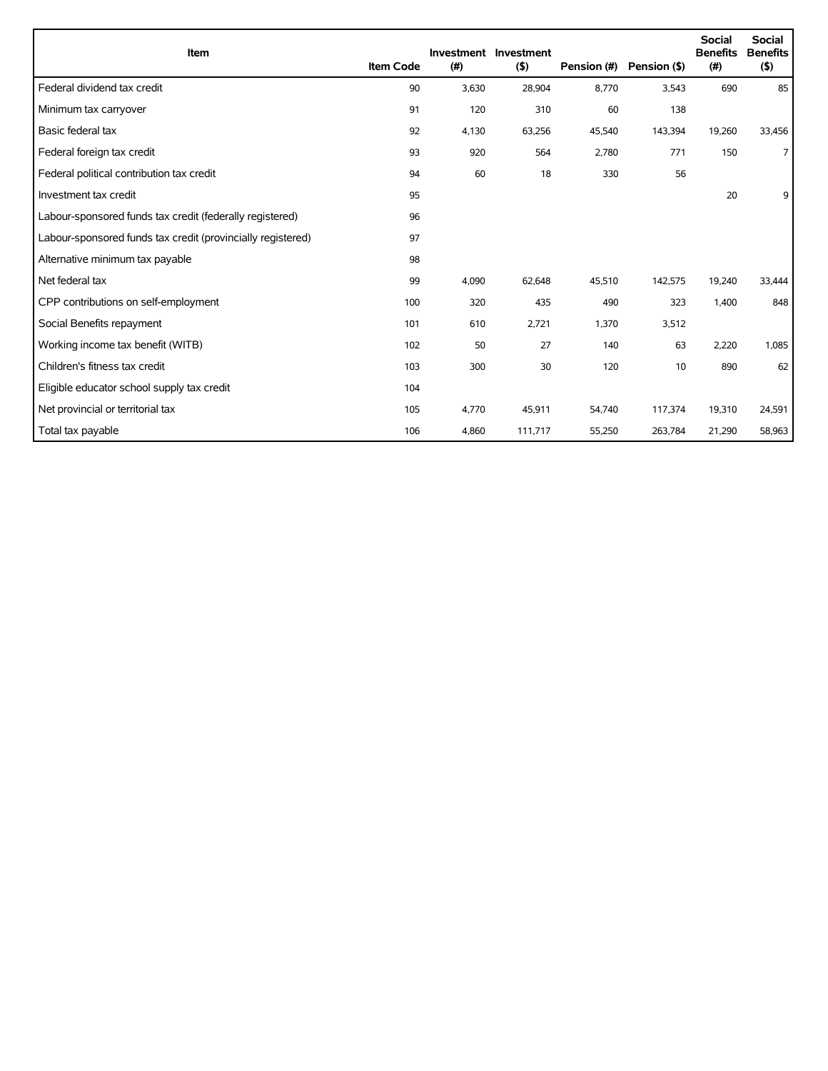| Item                                                        | <b>Item Code</b> | (#)   | Investment Investment<br>$($ \$) | Pension (#) | Pension (\$) | <b>Social</b><br><b>Benefits</b><br>(#) | <b>Social</b><br><b>Benefits</b><br>(5) |
|-------------------------------------------------------------|------------------|-------|----------------------------------|-------------|--------------|-----------------------------------------|-----------------------------------------|
| Federal dividend tax credit                                 | 90               | 3,630 | 28,904                           | 8,770       | 3,543        | 690                                     | 85                                      |
| Minimum tax carryover                                       | 91               | 120   | 310                              | 60          | 138          |                                         |                                         |
| Basic federal tax                                           | 92               | 4,130 | 63,256                           | 45,540      | 143,394      | 19,260                                  | 33,456                                  |
| Federal foreign tax credit                                  | 93               | 920   | 564                              | 2,780       | 771          | 150                                     | $\overline{7}$                          |
| Federal political contribution tax credit                   | 94               | 60    | 18                               | 330         | 56           |                                         |                                         |
| Investment tax credit                                       | 95               |       |                                  |             |              | 20                                      | 9                                       |
| Labour-sponsored funds tax credit (federally registered)    | 96               |       |                                  |             |              |                                         |                                         |
| Labour-sponsored funds tax credit (provincially registered) | 97               |       |                                  |             |              |                                         |                                         |
| Alternative minimum tax payable                             | 98               |       |                                  |             |              |                                         |                                         |
| Net federal tax                                             | 99               | 4,090 | 62,648                           | 45,510      | 142,575      | 19,240                                  | 33,444                                  |
| CPP contributions on self-employment                        | 100              | 320   | 435                              | 490         | 323          | 1,400                                   | 848                                     |
| Social Benefits repayment                                   | 101              | 610   | 2,721                            | 1,370       | 3,512        |                                         |                                         |
| Working income tax benefit (WITB)                           | 102              | 50    | 27                               | 140         | 63           | 2,220                                   | 1,085                                   |
| Children's fitness tax credit                               | 103              | 300   | 30                               | 120         | 10           | 890                                     | 62                                      |
| Eligible educator school supply tax credit                  | 104              |       |                                  |             |              |                                         |                                         |
| Net provincial or territorial tax                           | 105              | 4,770 | 45,911                           | 54,740      | 117,374      | 19,310                                  | 24,591                                  |
| Total tax payable                                           | 106              | 4,860 | 111,717                          | 55,250      | 263,784      | 21,290                                  | 58,963                                  |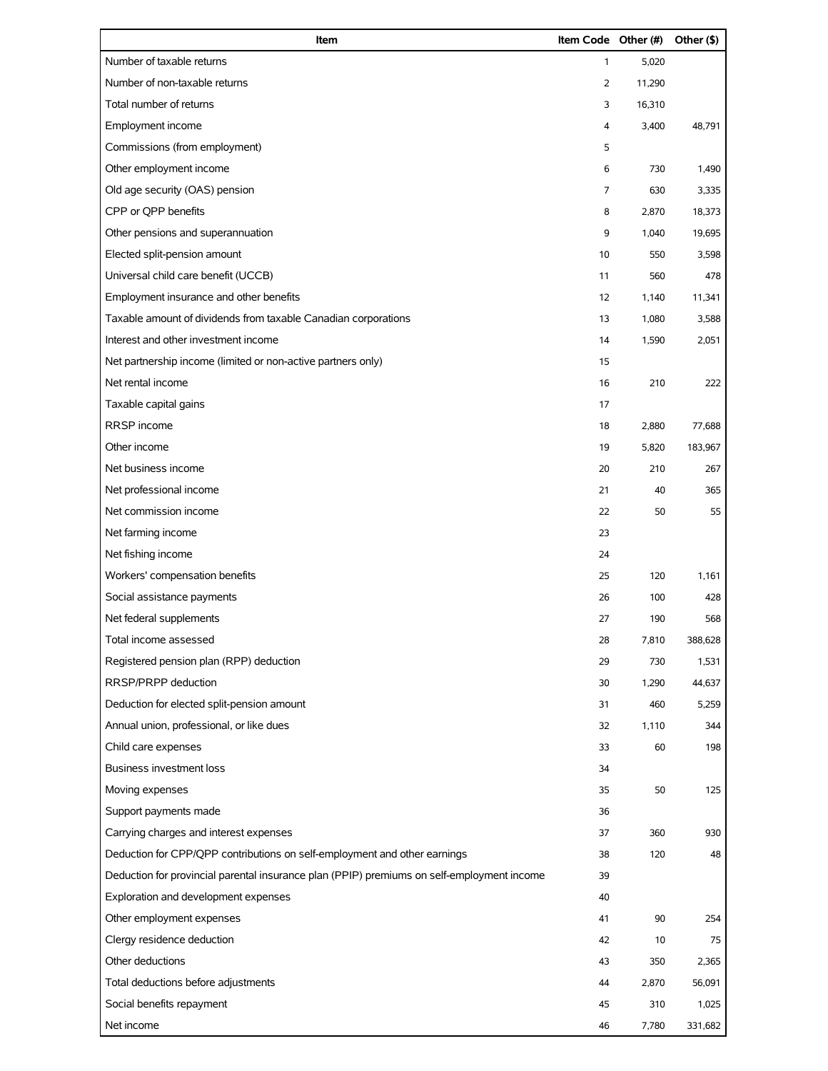| Item                                                                                       | Item Code Other (#) |        | Other (\$) |
|--------------------------------------------------------------------------------------------|---------------------|--------|------------|
| Number of taxable returns                                                                  | $\mathbf{1}$        | 5,020  |            |
| Number of non-taxable returns                                                              | 2                   | 11,290 |            |
| Total number of returns                                                                    | 3                   | 16,310 |            |
| Employment income                                                                          | 4                   | 3,400  | 48,791     |
| Commissions (from employment)                                                              | 5                   |        |            |
| Other employment income                                                                    | 6                   | 730    | 1,490      |
| Old age security (OAS) pension                                                             | 7                   | 630    | 3,335      |
| CPP or QPP benefits                                                                        | 8                   | 2,870  | 18,373     |
| Other pensions and superannuation                                                          | 9                   | 1,040  | 19,695     |
| Elected split-pension amount                                                               | 10                  | 550    | 3,598      |
| Universal child care benefit (UCCB)                                                        | 11                  | 560    | 478        |
| Employment insurance and other benefits                                                    | 12                  | 1,140  | 11,341     |
| Taxable amount of dividends from taxable Canadian corporations                             | 13                  | 1,080  | 3,588      |
| Interest and other investment income                                                       | 14                  | 1,590  | 2,051      |
| Net partnership income (limited or non-active partners only)                               | 15                  |        |            |
| Net rental income                                                                          | 16                  | 210    | 222        |
| Taxable capital gains                                                                      | 17                  |        |            |
| RRSP income                                                                                | 18                  | 2,880  | 77,688     |
| Other income                                                                               | 19                  | 5,820  | 183,967    |
| Net business income                                                                        | 20                  | 210    | 267        |
| Net professional income                                                                    | 21                  | 40     | 365        |
| Net commission income                                                                      | 22                  | 50     | 55         |
| Net farming income                                                                         | 23                  |        |            |
| Net fishing income                                                                         | 24                  |        |            |
| Workers' compensation benefits                                                             | 25                  | 120    | 1,161      |
| Social assistance payments                                                                 | 26                  | 100    | 428        |
| Net federal supplements                                                                    | 27                  | 190    | 568        |
| Total income assessed                                                                      | 28                  | 7,810  | 388,628    |
| Registered pension plan (RPP) deduction                                                    | 29                  | 730    | 1,531      |
| RRSP/PRPP deduction                                                                        | 30                  | 1,290  | 44,637     |
| Deduction for elected split-pension amount                                                 | 31                  | 460    | 5,259      |
| Annual union, professional, or like dues                                                   | 32                  | 1,110  | 344        |
| Child care expenses                                                                        | 33                  | 60     | 198        |
| <b>Business investment loss</b>                                                            | 34                  |        |            |
| Moving expenses                                                                            | 35                  | 50     | 125        |
| Support payments made                                                                      | 36                  |        |            |
| Carrying charges and interest expenses                                                     | 37                  | 360    | 930        |
| Deduction for CPP/QPP contributions on self-employment and other earnings                  | 38                  | 120    | 48         |
| Deduction for provincial parental insurance plan (PPIP) premiums on self-employment income | 39                  |        |            |
| Exploration and development expenses                                                       | 40                  |        |            |
| Other employment expenses                                                                  | 41                  | 90     | 254        |
| Clergy residence deduction                                                                 | 42                  | 10     | 75         |
| Other deductions                                                                           | 43                  | 350    | 2,365      |
| Total deductions before adjustments                                                        | 44                  | 2,870  | 56,091     |
| Social benefits repayment                                                                  | 45                  | 310    | 1,025      |
| Net income                                                                                 | 46                  | 7,780  | 331,682    |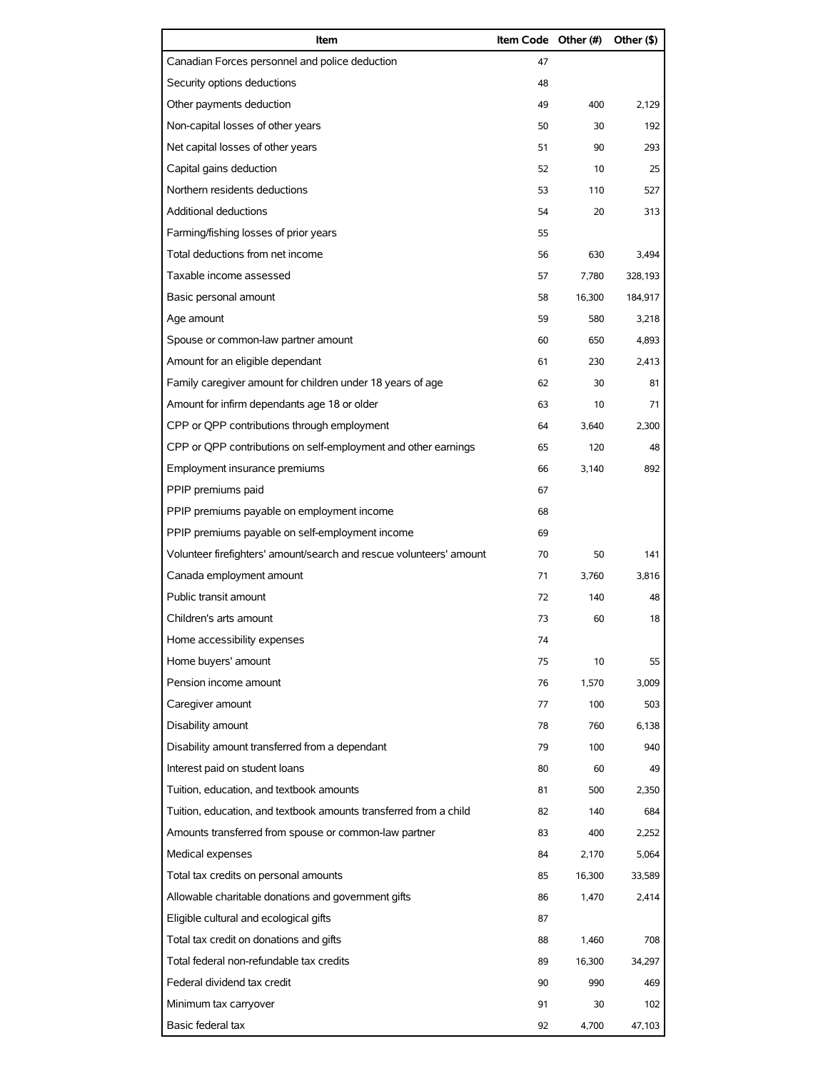| Item                                                                | Item Code Other (#) |        | Other (\$) |
|---------------------------------------------------------------------|---------------------|--------|------------|
| Canadian Forces personnel and police deduction                      | 47                  |        |            |
| Security options deductions                                         | 48                  |        |            |
| Other payments deduction                                            | 49                  | 400    | 2,129      |
| Non-capital losses of other years                                   | 50                  | 30     | 192        |
| Net capital losses of other years                                   | 51                  | 90     | 293        |
| Capital gains deduction                                             | 52                  | 10     | 25         |
| Northern residents deductions                                       | 53                  | 110    | 527        |
| Additional deductions                                               | 54                  | 20     | 313        |
| Farming/fishing losses of prior years                               | 55                  |        |            |
| Total deductions from net income                                    | 56                  | 630    | 3,494      |
| Taxable income assessed                                             | 57                  | 7,780  | 328,193    |
| Basic personal amount                                               | 58                  | 16,300 | 184,917    |
| Age amount                                                          | 59                  | 580    | 3,218      |
| Spouse or common-law partner amount                                 | 60                  | 650    | 4,893      |
| Amount for an eligible dependant                                    | 61                  | 230    | 2.413      |
| Family caregiver amount for children under 18 years of age          | 62                  | 30     | 81         |
| Amount for infirm dependants age 18 or older                        | 63                  | 10     | 71         |
| CPP or QPP contributions through employment                         | 64                  | 3,640  | 2,300      |
| CPP or QPP contributions on self-employment and other earnings      | 65                  | 120    | 48         |
| Employment insurance premiums                                       | 66                  | 3,140  | 892        |
| PPIP premiums paid                                                  | 67                  |        |            |
| PPIP premiums payable on employment income                          | 68                  |        |            |
| PPIP premiums payable on self-employment income                     | 69                  |        |            |
| Volunteer firefighters' amount/search and rescue volunteers' amount | 70                  | 50     | 141        |
| Canada employment amount                                            | 71                  | 3.760  | 3,816      |
| Public transit amount                                               | 72                  | 140    | 48         |
| Children's arts amount                                              | 73                  | 60     | 18         |
| Home accessibility expenses                                         | 74                  |        |            |
| Home buyers' amount                                                 | 75                  | 10     | 55         |
| Pension income amount                                               | 76                  | 1,570  | 3,009      |
| Caregiver amount                                                    | 77                  | 100    | 503        |
| Disability amount                                                   | 78                  | 760    | 6,138      |
| Disability amount transferred from a dependant                      | 79                  | 100    | 940        |
| Interest paid on student loans                                      | 80                  | 60     | 49         |
| Tuition, education, and textbook amounts                            | 81                  | 500    | 2,350      |
| Tuition, education, and textbook amounts transferred from a child   | 82                  | 140    | 684        |
| Amounts transferred from spouse or common-law partner               | 83                  | 400    | 2,252      |
| Medical expenses                                                    | 84                  | 2,170  | 5,064      |
| Total tax credits on personal amounts                               | 85                  | 16,300 | 33,589     |
| Allowable charitable donations and government gifts                 | 86                  | 1,470  | 2,414      |
| Eligible cultural and ecological gifts                              | 87                  |        |            |
| Total tax credit on donations and gifts                             | 88                  | 1,460  | 708        |
| Total federal non-refundable tax credits                            | 89                  | 16,300 | 34,297     |
| Federal dividend tax credit                                         | 90                  | 990    | 469        |
| Minimum tax carryover                                               | 91                  | 30     | 102        |
| Basic federal tax                                                   | 92                  | 4,700  | 47,103     |